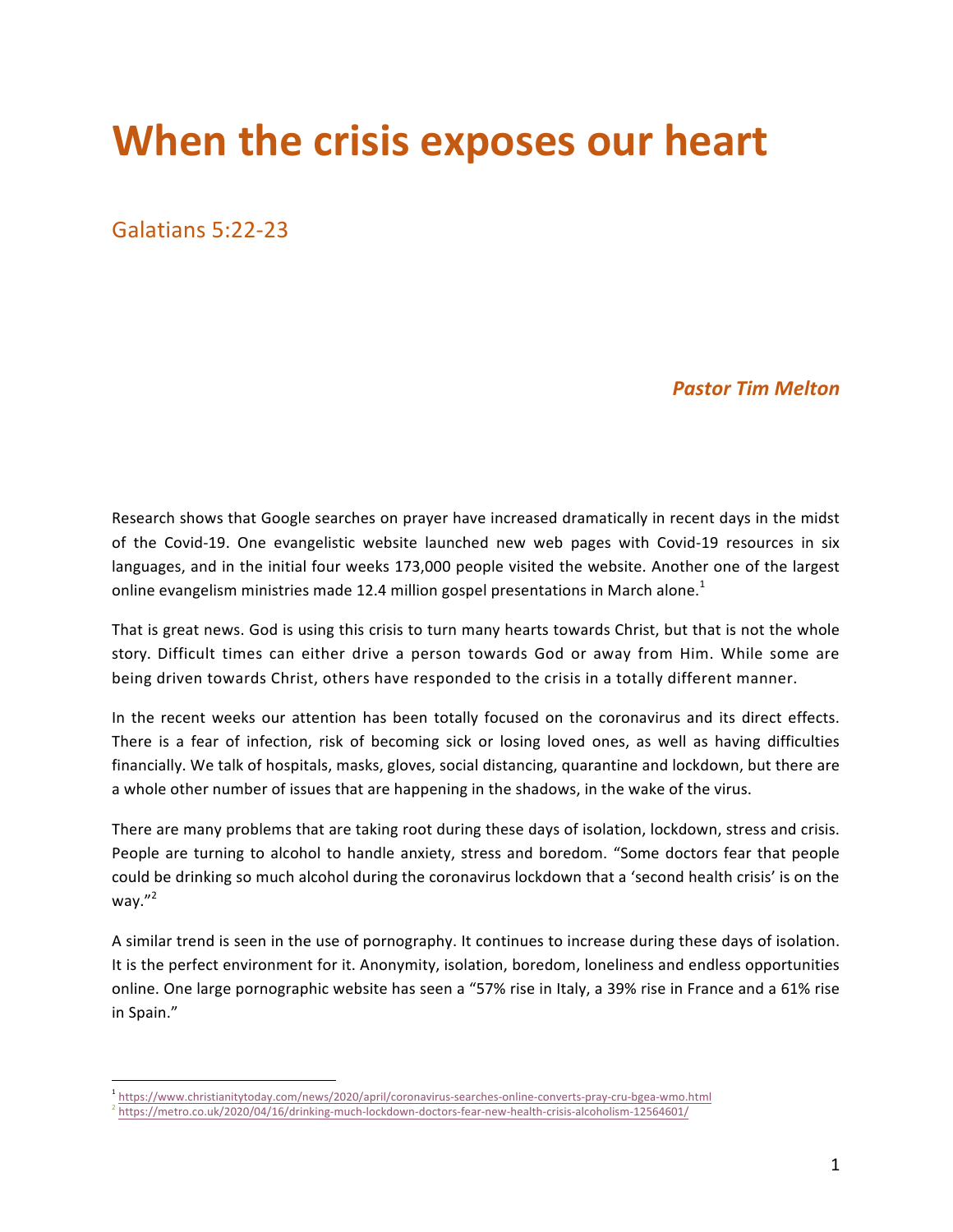## **When the crisis exposes our heart**

Galatians 5:22-23

## *Pastor Tim Melton*

Research shows that Google searches on prayer have increased dramatically in recent days in the midst of the Covid-19. One evangelistic website launched new web pages with Covid-19 resources in six languages, and in the initial four weeks 173,000 people visited the website. Another one of the largest online evangelism ministries made 12.4 million gospel presentations in March alone.<sup>1</sup>

That is great news. God is using this crisis to turn many hearts towards Christ, but that is not the whole story. Difficult times can either drive a person towards God or away from Him. While some are being driven towards Christ, others have responded to the crisis in a totally different manner.

In the recent weeks our attention has been totally focused on the coronavirus and its direct effects. There is a fear of infection, risk of becoming sick or losing loved ones, as well as having difficulties financially. We talk of hospitals, masks, gloves, social distancing, quarantine and lockdown, but there are a whole other number of issues that are happening in the shadows, in the wake of the virus.

There are many problems that are taking root during these days of isolation, lockdown, stress and crisis. People are turning to alcohol to handle anxiety, stress and boredom. "Some doctors fear that people could be drinking so much alcohol during the coronavirus lockdown that a 'second health crisis' is on the way." 2

A similar trend is seen in the use of pornography. It continues to increase during these days of isolation. It is the perfect environment for it. Anonymity, isolation, boredom, loneliness and endless opportunities online. One large pornographic website has seen a "57% rise in Italy, a 39% rise in France and a 61% rise in Spain."

 

<sup>1</sup> https://www.christianitytoday.com/news/2020/april/coronavirus-searches-online-converts-pray-cru-bgea-wmo.html

<sup>2</sup> https://metro.co.uk/2020/04/16/drinking-much-lockdown-doctors-fear-new-health-crisis-alcoholism-12564601/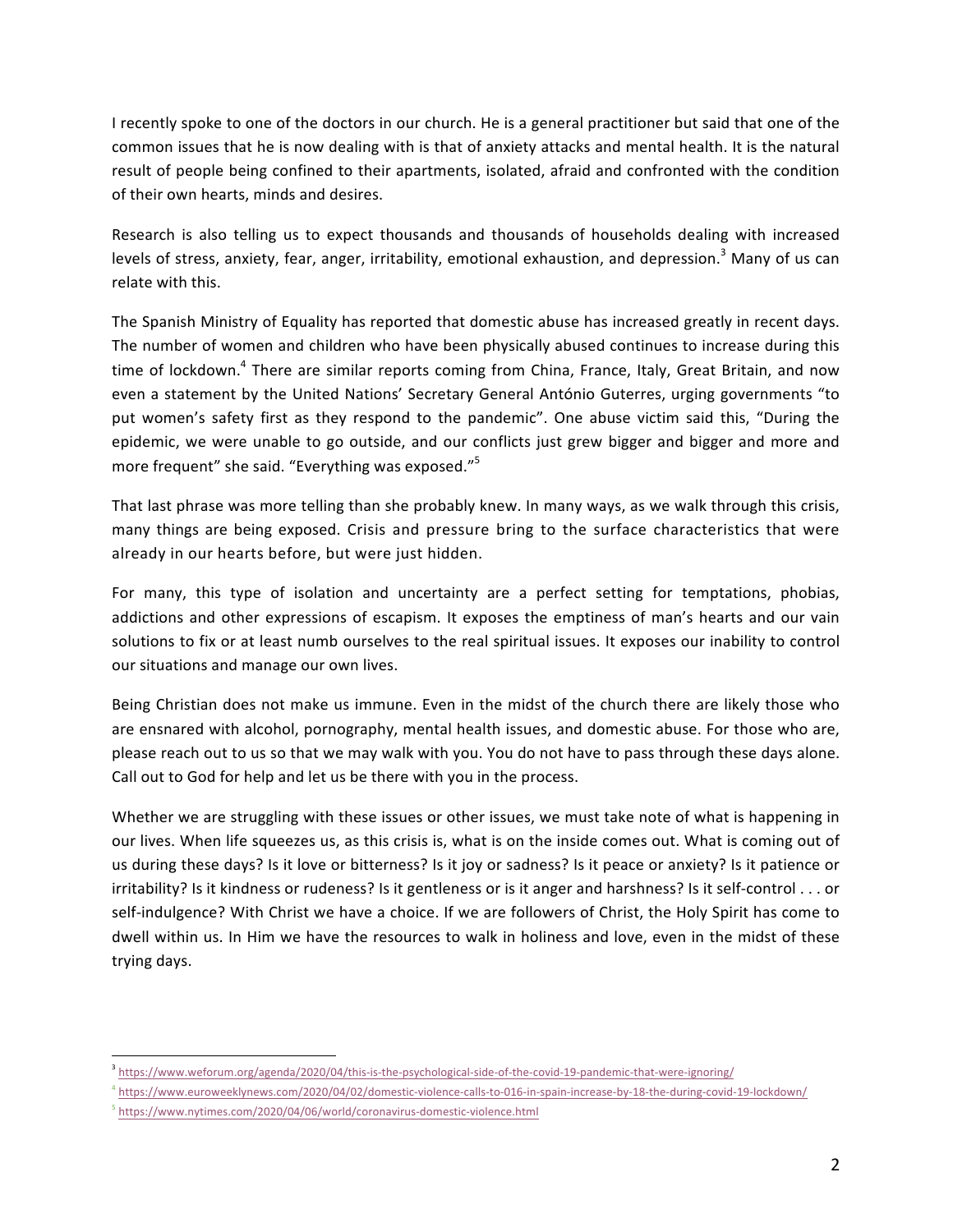I recently spoke to one of the doctors in our church. He is a general practitioner but said that one of the common issues that he is now dealing with is that of anxiety attacks and mental health. It is the natural result of people being confined to their apartments, isolated, afraid and confronted with the condition of their own hearts, minds and desires.

Research is also telling us to expect thousands and thousands of households dealing with increased levels of stress, anxiety, fear, anger, irritability, emotional exhaustion, and depression.<sup>3</sup> Many of us can relate with this.

The Spanish Ministry of Equality has reported that domestic abuse has increased greatly in recent days. The number of women and children who have been physically abused continues to increase during this time of lockdown.<sup>4</sup> There are similar reports coming from China, France, Italy, Great Britain, and now even a statement by the United Nations' Secretary General António Guterres, urging governments "to put women's safety first as they respond to the pandemic". One abuse victim said this, "During the epidemic, we were unable to go outside, and our conflicts just grew bigger and bigger and more and more frequent" she said. "Everything was exposed." $5$ 

That last phrase was more telling than she probably knew. In many ways, as we walk through this crisis, many things are being exposed. Crisis and pressure bring to the surface characteristics that were already in our hearts before, but were just hidden.

For many, this type of isolation and uncertainty are a perfect setting for temptations, phobias, addictions and other expressions of escapism. It exposes the emptiness of man's hearts and our vain solutions to fix or at least numb ourselves to the real spiritual issues. It exposes our inability to control our situations and manage our own lives.

Being Christian does not make us immune. Even in the midst of the church there are likely those who are ensnared with alcohol, pornography, mental health issues, and domestic abuse. For those who are, please reach out to us so that we may walk with you. You do not have to pass through these days alone. Call out to God for help and let us be there with you in the process.

Whether we are struggling with these issues or other issues, we must take note of what is happening in our lives. When life squeezes us, as this crisis is, what is on the inside comes out. What is coming out of us during these days? Is it love or bitterness? Is it joy or sadness? Is it peace or anxiety? Is it patience or irritability? Is it kindness or rudeness? Is it gentleness or is it anger and harshness? Is it self-control . . . or self-indulgence? With Christ we have a choice. If we are followers of Christ, the Holy Spirit has come to dwell within us. In Him we have the resources to walk in holiness and love, even in the midst of these trying days.

 <sup>3</sup> https://www.weforum.org/agenda/2020/04/this-is-the-psychological-side-of-the-covid-19-pandemic-that-were-ignoring/

<sup>4</sup> https://www.euroweeklynews.com/2020/04/02/domestic-violence-calls-to-016-in-spain-increase-by-18-the-during-covid-19-lockdown/

<sup>&</sup>lt;sup>5</sup> https://www.nytimes.com/2020/04/06/world/coronavirus-domestic-violence.html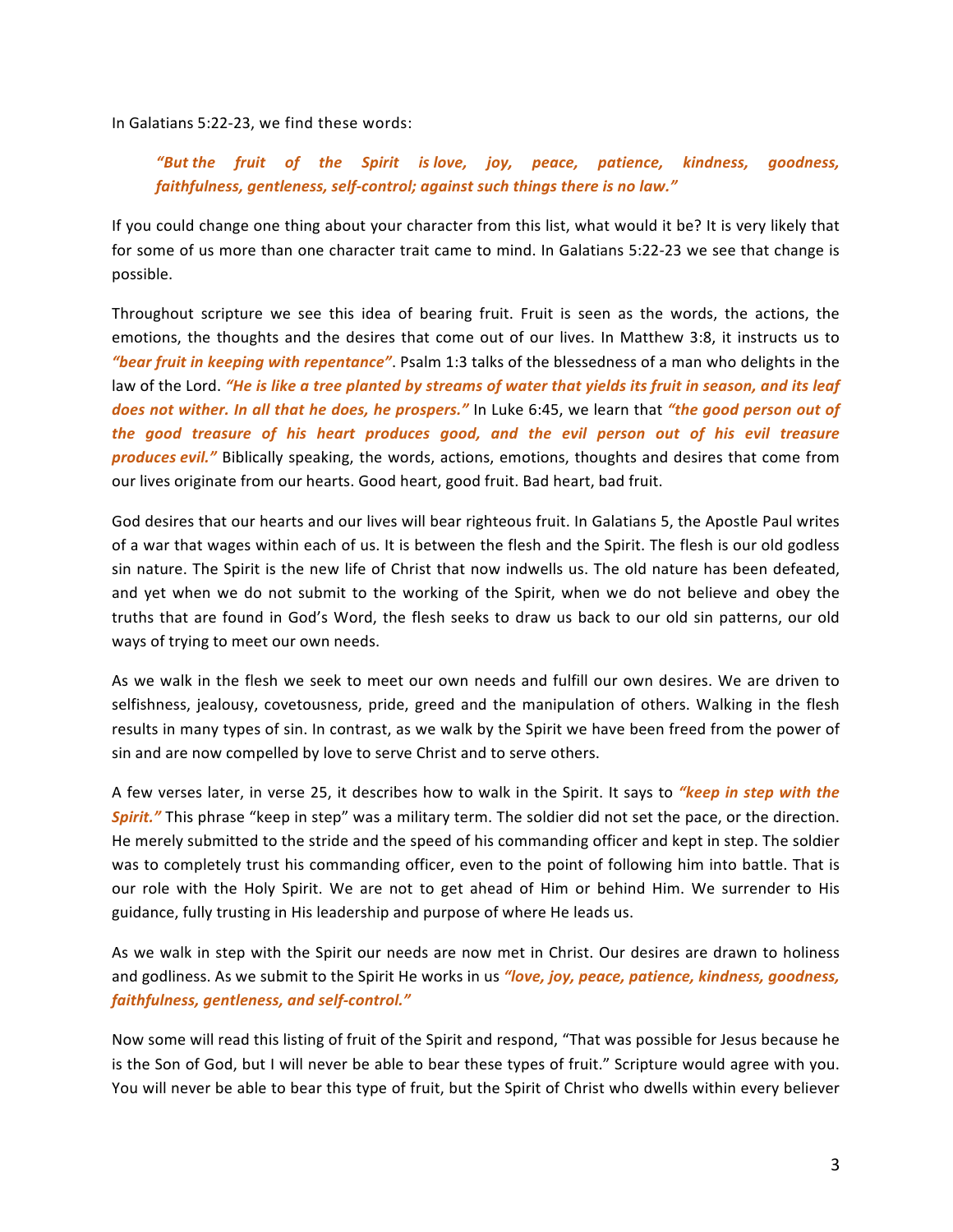In Galatians 5:22-23, we find these words:

*"But the fruit of the Spirit is love, joy, peace, patience, kindness, goodness,*  faithfulness, gentleness, self-control; against such things there is no law."

If you could change one thing about your character from this list, what would it be? It is very likely that for some of us more than one character trait came to mind. In Galatians 5:22-23 we see that change is possible.

Throughout scripture we see this idea of bearing fruit. Fruit is seen as the words, the actions, the emotions, the thoughts and the desires that come out of our lives. In Matthew 3:8, it instructs us to "bear fruit in keeping with repentance". Psalm 1:3 talks of the blessedness of a man who delights in the law of the Lord. *"He is like a tree planted by streams of water that yields its fruit in season, and its leaf does not wither. In all that he does, he prospers."* In Luke 6:45, we learn that "*the good person out of the good treasure of his heart produces good, and the evil person out of his evil treasure produces evil.*" Biblically speaking, the words, actions, emotions, thoughts and desires that come from our lives originate from our hearts. Good heart, good fruit. Bad heart, bad fruit.

God desires that our hearts and our lives will bear righteous fruit. In Galatians 5, the Apostle Paul writes of a war that wages within each of us. It is between the flesh and the Spirit. The flesh is our old godless sin nature. The Spirit is the new life of Christ that now indwells us. The old nature has been defeated, and yet when we do not submit to the working of the Spirit, when we do not believe and obey the truths that are found in God's Word, the flesh seeks to draw us back to our old sin patterns, our old ways of trying to meet our own needs.

As we walk in the flesh we seek to meet our own needs and fulfill our own desires. We are driven to selfishness, jealousy, covetousness, pride, greed and the manipulation of others. Walking in the flesh results in many types of sin. In contrast, as we walk by the Spirit we have been freed from the power of sin and are now compelled by love to serve Christ and to serve others.

A few verses later, in verse 25, it describes how to walk in the Spirit. It says to *"keep in step with the* **Spirit.**" This phrase "keep in step" was a military term. The soldier did not set the pace, or the direction. He merely submitted to the stride and the speed of his commanding officer and kept in step. The soldier was to completely trust his commanding officer, even to the point of following him into battle. That is our role with the Holy Spirit. We are not to get ahead of Him or behind Him. We surrender to His guidance, fully trusting in His leadership and purpose of where He leads us.

As we walk in step with the Spirit our needs are now met in Christ. Our desires are drawn to holiness and godliness. As we submit to the Spirit He works in us "love, joy, peace, patience, kindness, goodness, *faithfulness, gentleness, and self-control."*

Now some will read this listing of fruit of the Spirit and respond, "That was possible for Jesus because he is the Son of God, but I will never be able to bear these types of fruit." Scripture would agree with you. You will never be able to bear this type of fruit, but the Spirit of Christ who dwells within every believer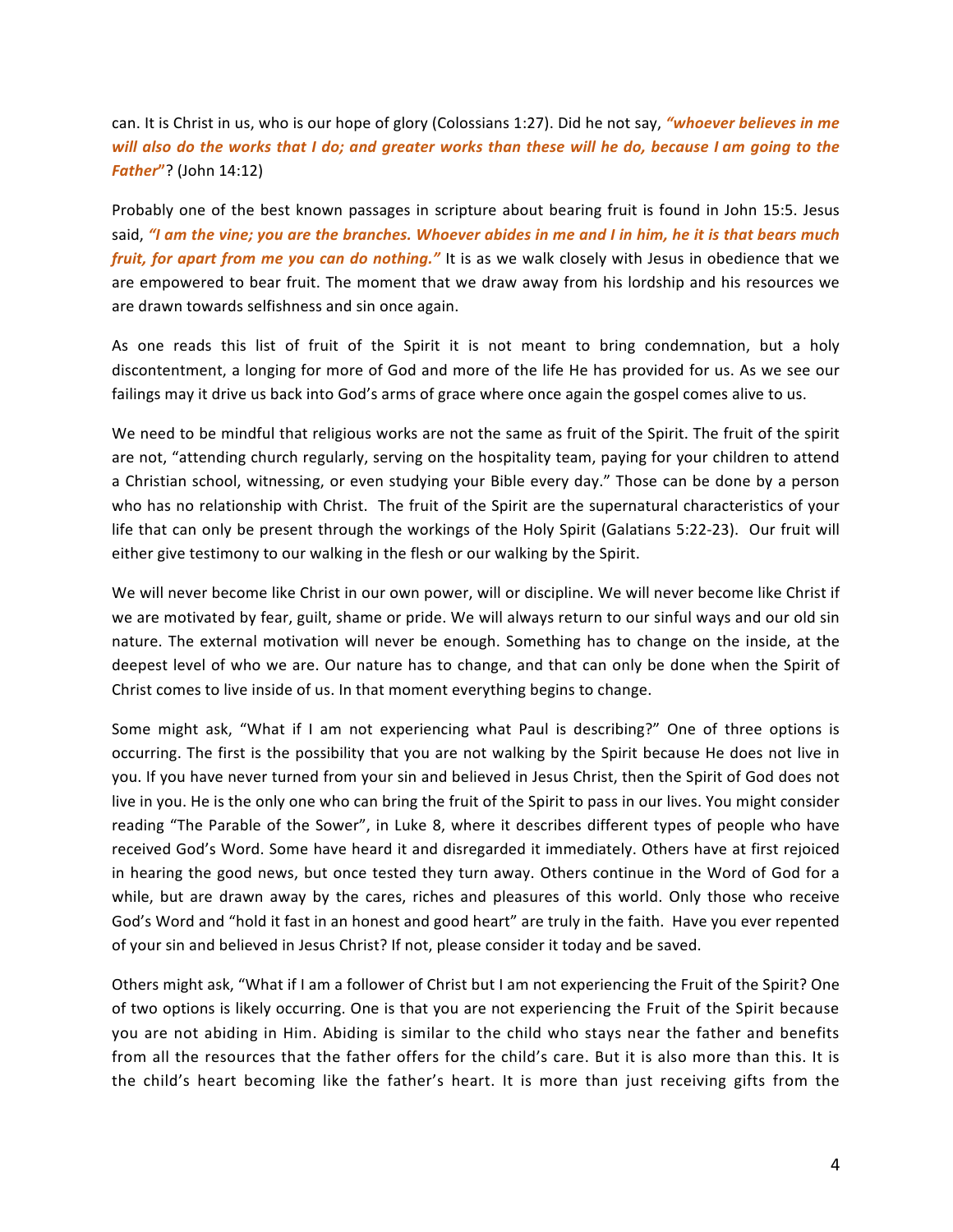can. It is Christ in us, who is our hope of glory (Colossians 1:27). Did he not say, *"whoever believes in me will also do the works that I do; and greater works than these will he do, because I am going to the Father***"**? (John 14:12)

Probably one of the best known passages in scripture about bearing fruit is found in John 15:5. Jesus said, "I am the vine; you are the branches. Whoever abides in me and I in him, he it is that bears much *fruit, for apart from me you can do nothing."* It is as we walk closely with Jesus in obedience that we are empowered to bear fruit. The moment that we draw away from his lordship and his resources we are drawn towards selfishness and sin once again.

As one reads this list of fruit of the Spirit it is not meant to bring condemnation, but a holy discontentment, a longing for more of God and more of the life He has provided for us. As we see our failings may it drive us back into God's arms of grace where once again the gospel comes alive to us.

We need to be mindful that religious works are not the same as fruit of the Spirit. The fruit of the spirit are not, "attending church regularly, serving on the hospitality team, paying for your children to attend a Christian school, witnessing, or even studying your Bible every day." Those can be done by a person who has no relationship with Christ. The fruit of the Spirit are the supernatural characteristics of your life that can only be present through the workings of the Holy Spirit (Galatians 5:22-23). Our fruit will either give testimony to our walking in the flesh or our walking by the Spirit.

We will never become like Christ in our own power, will or discipline. We will never become like Christ if we are motivated by fear, guilt, shame or pride. We will always return to our sinful ways and our old sin nature. The external motivation will never be enough. Something has to change on the inside, at the deepest level of who we are. Our nature has to change, and that can only be done when the Spirit of Christ comes to live inside of us. In that moment everything begins to change.

Some might ask, "What if I am not experiencing what Paul is describing?" One of three options is occurring. The first is the possibility that you are not walking by the Spirit because He does not live in you. If you have never turned from your sin and believed in Jesus Christ, then the Spirit of God does not live in you. He is the only one who can bring the fruit of the Spirit to pass in our lives. You might consider reading "The Parable of the Sower", in Luke 8, where it describes different types of people who have received God's Word. Some have heard it and disregarded it immediately. Others have at first rejoiced in hearing the good news, but once tested they turn away. Others continue in the Word of God for a while, but are drawn away by the cares, riches and pleasures of this world. Only those who receive God's Word and "hold it fast in an honest and good heart" are truly in the faith. Have you ever repented of your sin and believed in Jesus Christ? If not, please consider it today and be saved.

Others might ask, "What if I am a follower of Christ but I am not experiencing the Fruit of the Spirit? One of two options is likely occurring. One is that you are not experiencing the Fruit of the Spirit because you are not abiding in Him. Abiding is similar to the child who stays near the father and benefits from all the resources that the father offers for the child's care. But it is also more than this. It is the child's heart becoming like the father's heart. It is more than just receiving gifts from the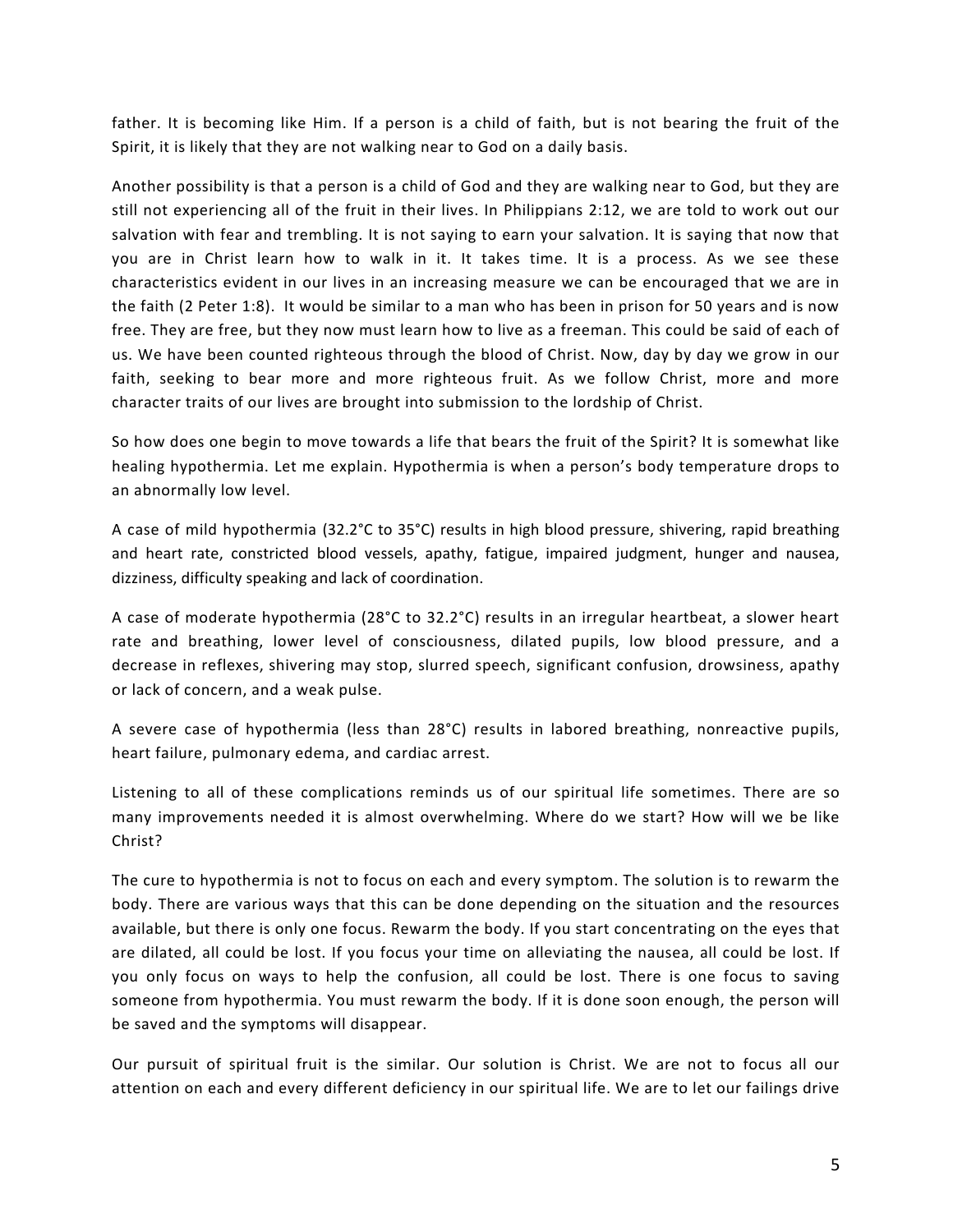father. It is becoming like Him. If a person is a child of faith, but is not bearing the fruit of the Spirit, it is likely that they are not walking near to God on a daily basis.

Another possibility is that a person is a child of God and they are walking near to God, but they are still not experiencing all of the fruit in their lives. In Philippians 2:12, we are told to work out our salvation with fear and trembling. It is not saying to earn your salvation. It is saying that now that you are in Christ learn how to walk in it. It takes time. It is a process. As we see these characteristics evident in our lives in an increasing measure we can be encouraged that we are in the faith (2 Peter 1:8). It would be similar to a man who has been in prison for 50 years and is now free. They are free, but they now must learn how to live as a freeman. This could be said of each of us. We have been counted righteous through the blood of Christ. Now, day by day we grow in our faith, seeking to bear more and more righteous fruit. As we follow Christ, more and more character traits of our lives are brought into submission to the lordship of Christ.

So how does one begin to move towards a life that bears the fruit of the Spirit? It is somewhat like healing hypothermia. Let me explain. Hypothermia is when a person's body temperature drops to an abnormally low level.

A case of mild hypothermia (32.2°C to 35°C) results in high blood pressure, shivering, rapid breathing and heart rate, constricted blood vessels, apathy, fatigue, impaired judgment, hunger and nausea, dizziness, difficulty speaking and lack of coordination.

A case of moderate hypothermia (28°C to 32.2°C) results in an irregular heartbeat, a slower heart rate and breathing, lower level of consciousness, dilated pupils, low blood pressure, and a decrease in reflexes, shivering may stop, slurred speech, significant confusion, drowsiness, apathy or lack of concern, and a weak pulse.

A severe case of hypothermia (less than 28°C) results in labored breathing, nonreactive pupils, heart failure, pulmonary edema, and cardiac arrest.

Listening to all of these complications reminds us of our spiritual life sometimes. There are so many improvements needed it is almost overwhelming. Where do we start? How will we be like Christ?

The cure to hypothermia is not to focus on each and every symptom. The solution is to rewarm the body. There are various ways that this can be done depending on the situation and the resources available, but there is only one focus. Rewarm the body. If you start concentrating on the eyes that are dilated, all could be lost. If you focus your time on alleviating the nausea, all could be lost. If you only focus on ways to help the confusion, all could be lost. There is one focus to saving someone from hypothermia. You must rewarm the body. If it is done soon enough, the person will be saved and the symptoms will disappear.

Our pursuit of spiritual fruit is the similar. Our solution is Christ. We are not to focus all our attention on each and every different deficiency in our spiritual life. We are to let our failings drive